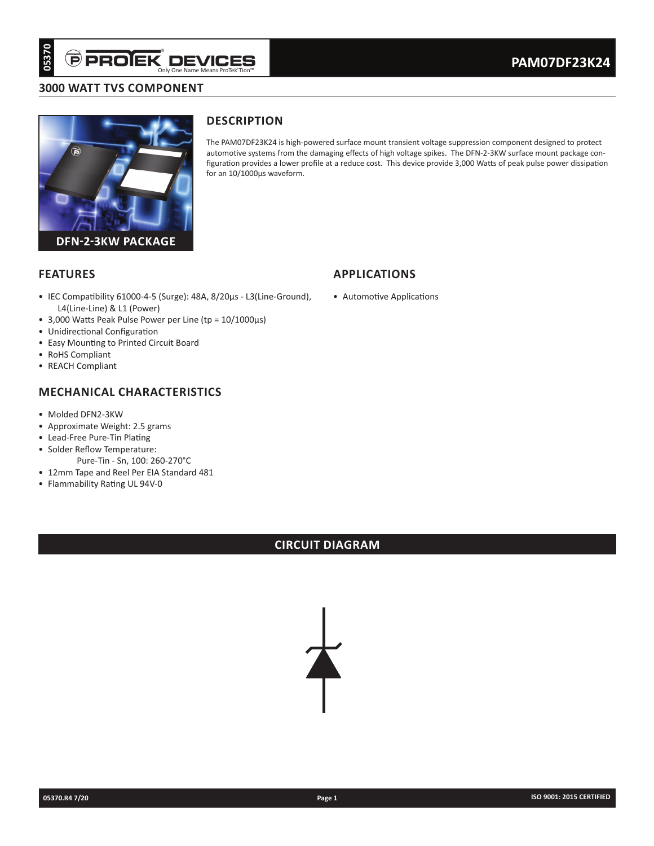# **3000 watt TVS Component**



# **Description**

The PAM07DF23K24 is high-powered surface mount transient voltage suppression component designed to protect automotive systems from the damaging effects of high voltage spikes. The DFN-2-3KW surface mount package configuration provides a lower profile at a reduce cost. This device provide 3,000 Watts of peak pulse power dissipation for an 10/1000µs waveform.

**applications**

• Automotive Applications

### **Features**

- IEC Compatibility 61000-4-5 (Surge): 48A, 8/20µs L3(Line-Ground), L4(Line-Line) & L1 (Power)
- 3,000 Watts Peak Pulse Power per Line (tp = 10/1000µs)
- Unidirectional Configuration
- Easy Mounting to Printed Circuit Board
- RoHS Compliant
- REACH Compliant

# **mechanical characteristics**

- Molded DFN2-3KW
- Approximate Weight: 2.5 grams
- Lead-Free Pure-Tin Plating
- Solder Reflow Temperature:
	- Pure-Tin Sn, 100: 260-270°C
- 12mm Tape and Reel Per EIA Standard 481 • Flammability Rating UL 94V-0

# **circuit diagram**

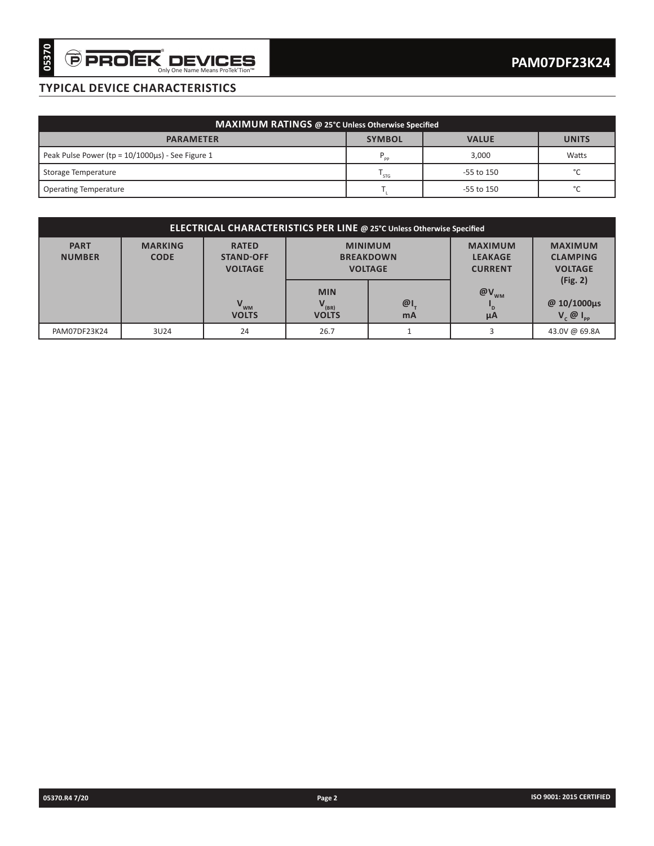# **typical device characteristics**

| MAXIMUM RATINGS @ 25°C Unless Otherwise Specified      |                 |                |              |  |  |  |  |
|--------------------------------------------------------|-----------------|----------------|--------------|--|--|--|--|
| <b>PARAMETER</b>                                       | <b>SYMBOL</b>   | <b>VALUE</b>   | <b>UNITS</b> |  |  |  |  |
| Peak Pulse Power (tp = $10/1000\mu s$ ) - See Figure 1 | $P_{_{\sf pp}}$ | 3.000          | Watts        |  |  |  |  |
| Storage Temperature                                    | ST <sub>G</sub> | $-55$ to $150$ | $\circ$      |  |  |  |  |
| Operating Temperature                                  |                 | $-55$ to 150   | $\circ$      |  |  |  |  |

| 05370                                                                                                                                                                       | $\Theta$ <b>PROIEK DEVICES</b>                   |                                                                       |                                                   |                                                    |                                                          | <b>PAM07DF23K24</b>                                            |
|-----------------------------------------------------------------------------------------------------------------------------------------------------------------------------|--------------------------------------------------|-----------------------------------------------------------------------|---------------------------------------------------|----------------------------------------------------|----------------------------------------------------------|----------------------------------------------------------------|
|                                                                                                                                                                             | <b>TYPICAL DEVICE CHARACTERISTICS</b>            |                                                                       |                                                   |                                                    |                                                          |                                                                |
|                                                                                                                                                                             |                                                  |                                                                       | MAXIMUM RATINGS @ 25°C Unless Otherwise Specified |                                                    |                                                          |                                                                |
|                                                                                                                                                                             | <b>PARAMETER</b>                                 |                                                                       |                                                   | <b>SYMBOL</b>                                      | <b>VALUE</b>                                             | <b>UNITS</b>                                                   |
|                                                                                                                                                                             | Peak Pulse Power (tp = 10/1000µs) - See Figure 1 |                                                                       |                                                   | $\mathsf{P}_{\mathsf{pp}}$                         | 3,000                                                    | Watts                                                          |
| Storage Temperature                                                                                                                                                         |                                                  |                                                                       |                                                   | $T_{STG}$                                          | -55 to 150                                               | $^{\circ}{\rm C}$                                              |
| <b>Operating Temperature</b>                                                                                                                                                |                                                  |                                                                       |                                                   | $\mathsf{T}_{\mathsf{L}}$                          | -55 to 150                                               | $^{\circ}$ C                                                   |
|                                                                                                                                                                             |                                                  | ELECTRICAL CHARACTERISTICS PER LINE @ 25°C Unless Otherwise Specified |                                                   |                                                    |                                                          |                                                                |
| <b>MARKING</b><br><b>PART</b><br><b>RATED</b><br><b>MINIMUM</b><br><b>NUMBER</b><br><b>CODE</b><br><b>STAND-OFF</b><br><b>BREAKDOWN</b><br><b>VOLTAGE</b><br><b>VOLTAGE</b> |                                                  |                                                                       |                                                   | <b>MAXIMUM</b><br><b>LEAKAGE</b><br><b>CURRENT</b> | <b>MAXIMUM</b><br><b>CLAMPING</b><br><b>VOLTAGE</b>      |                                                                |
|                                                                                                                                                                             |                                                  | $V_{WM}$<br><b>VOLTS</b>                                              | <b>MIN</b><br>$V_{\text{\tiny{(BR)}}}$<br>VOLTS   | $\omega_{I}$<br>mA                                 | $@V_{_{\rm WM}}$<br>$\mathsf{I}_{\mathsf{D}}$<br>$\mu A$ | (Fig. 2)<br>@ 10/1000µs<br>$V_{c}$ $\emptyset$ $I_{\text{pp}}$ |
| PAM07DF23K24                                                                                                                                                                | 3U24                                             | 24                                                                    | 26.7                                              | $\mathbf{1}$                                       | 3                                                        | 43.0V @ 69.8A                                                  |
|                                                                                                                                                                             |                                                  |                                                                       |                                                   |                                                    |                                                          |                                                                |
|                                                                                                                                                                             |                                                  |                                                                       |                                                   |                                                    |                                                          |                                                                |
|                                                                                                                                                                             |                                                  |                                                                       |                                                   |                                                    |                                                          |                                                                |
|                                                                                                                                                                             |                                                  |                                                                       |                                                   |                                                    |                                                          |                                                                |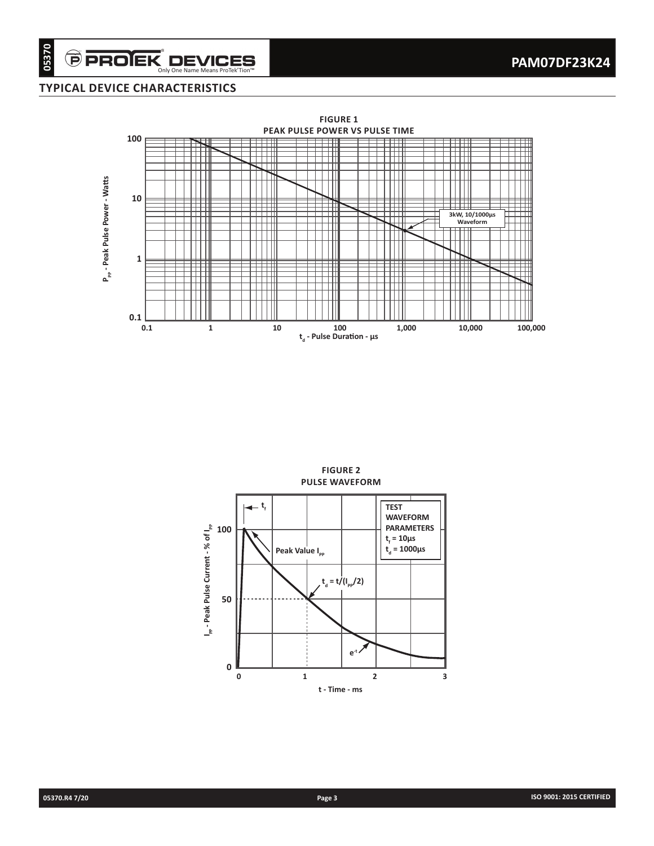# $\widehat{\boldsymbol{\Theta}}$  PROIEK $\displaystyle\nonumber \operatorname*{D}\textnormal{EVICES}\over\displaystyle\nonumber \textnormal{Only One Name Mean Protektion"}$ **typical device characteristics**





**figure 2**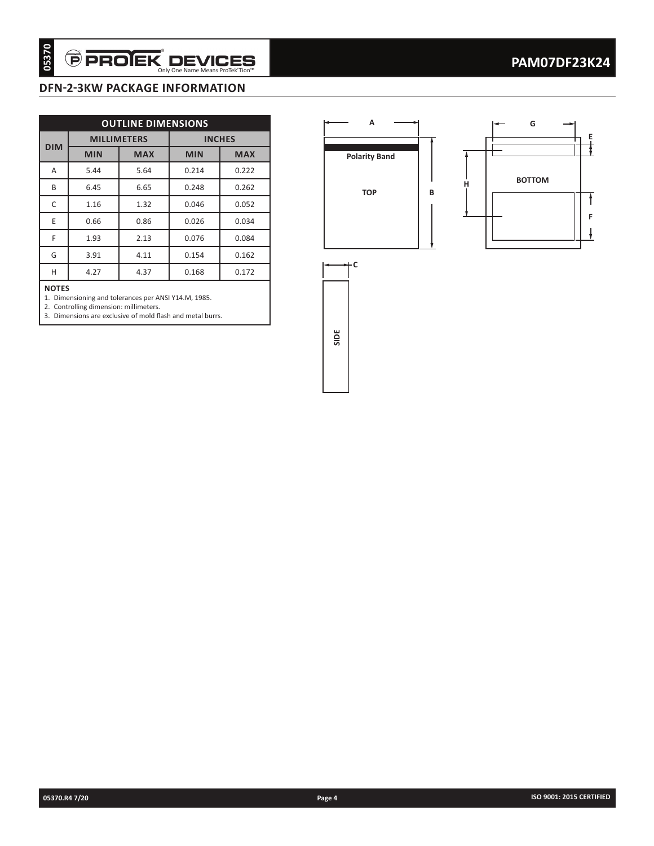# **DFN-2-3KW package information**

|                   |                    | <b>PROEK DEVI</b>                    | Only One Name Means ProTek'Tion™ |               |  |
|-------------------|--------------------|--------------------------------------|----------------------------------|---------------|--|
|                   |                    | <b>DFN-2-3KW PACKAGE INFORMATION</b> |                                  |               |  |
|                   |                    |                                      |                                  |               |  |
|                   |                    | <b>OUTLINE DIMENSIONS</b>            |                                  |               |  |
| <b>DIM</b>        |                    | <b>MILLIMETERS</b>                   |                                  | <b>INCHES</b> |  |
|                   | <b>MIN</b><br>5.44 | <b>MAX</b>                           | <b>MIN</b>                       | <b>MAX</b>    |  |
| Α                 |                    | 5.64                                 | 0.214                            | 0.222         |  |
| В<br>$\mathsf C$  | 6.45               | 6.65                                 | 0.248                            | 0.262         |  |
|                   | 1.16               | 1.32                                 | 0.046                            | 0.052         |  |
| E                 | 0.66               | 0.86                                 | 0.026                            | 0.034         |  |
| F                 | 1.93               | 2.13                                 | 0.076                            | 0.084         |  |
| G                 | 3.91               | 4.11                                 | 0.154                            | 0.162         |  |
| н<br><b>NOTES</b> | 4.27               | 4.37                                 | 0.168                            | 0.172         |  |
|                   |                    |                                      |                                  |               |  |
|                   |                    |                                      |                                  |               |  |

#### **NOTEs**





**SIDE**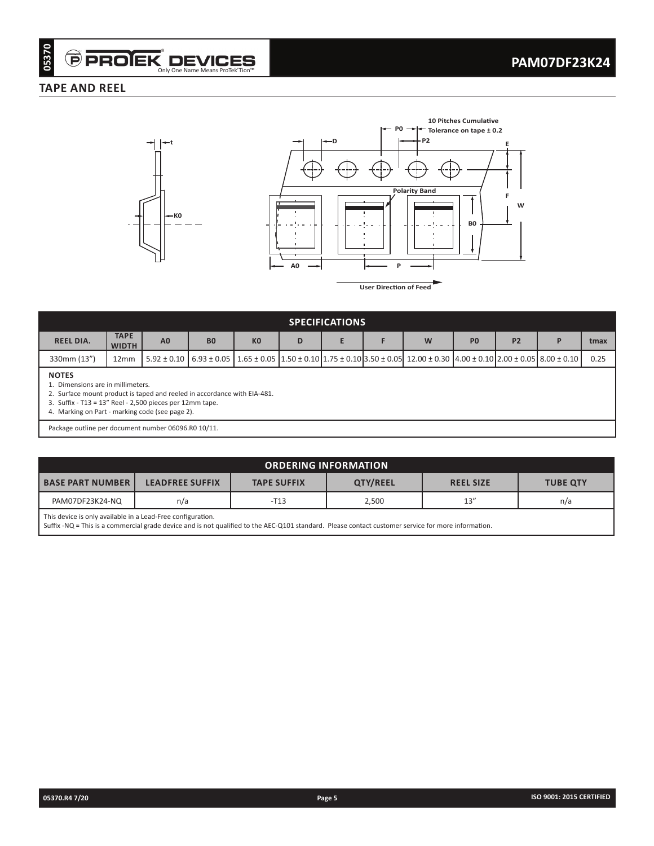# **TAPE AND REEL**





| 05370<br><b>PROJEK DEVICES</b>                                                                                                                                                                                                                                                                      |                        | Only One Name Means ProTek'Tion™ |                |                             |                       |                                    |                                                                                                                                                                  |                                         |                | <b>PAM07DF23K24</b>      |      |
|-----------------------------------------------------------------------------------------------------------------------------------------------------------------------------------------------------------------------------------------------------------------------------------------------------|------------------------|----------------------------------|----------------|-----------------------------|-----------------------|------------------------------------|------------------------------------------------------------------------------------------------------------------------------------------------------------------|-----------------------------------------|----------------|--------------------------|------|
| <b>TAPE AND REEL</b>                                                                                                                                                                                                                                                                                |                        |                                  |                |                             |                       |                                    |                                                                                                                                                                  |                                         |                |                          |      |
|                                                                                                                                                                                                                                                                                                     | —t<br>— КО             |                                  |                | A <sub>0</sub>              | ←D                    | P<br><b>User Direction of Feed</b> | $-$ P0 $\rightarrow$ $\leftarrow$ Tolerance on tape $\pm$ 0.2<br>P <sub>2</sub><br><b>Polarity Band</b>                                                          | 10 Pitches Cumulative<br>B <sub>0</sub> | Е<br>W         |                          |      |
|                                                                                                                                                                                                                                                                                                     |                        |                                  |                |                             | <b>SPECIFICATIONS</b> |                                    |                                                                                                                                                                  |                                         |                |                          |      |
| <b>TAPE</b><br><b>REEL DIA.</b><br><b>WIDTH</b>                                                                                                                                                                                                                                                     | A <sub>0</sub>         | B <sub>0</sub>                   | K <sub>0</sub> | D                           | E                     | F                                  | W                                                                                                                                                                | P <sub>0</sub>                          | P <sub>2</sub> | P                        | tmax |
| 330mm (13")<br>12mm                                                                                                                                                                                                                                                                                 | $5.92 \pm 0.10$        |                                  |                |                             |                       |                                    | $6.93 \pm 0.05$   $1.65 \pm 0.05$   $1.50 \pm 0.10$   $1.75 \pm 0.10$   $3.50 \pm 0.05$   $12.00 \pm 0.30$   $4.00 \pm 0.10$   $2.00 \pm 0.05$   $8.00 \pm 0.10$ |                                         |                |                          | 0.25 |
| <b>NOTES</b><br>1. Dimensions are in millimeters.<br>2. Surface mount product is taped and reeled in accordance with EIA-481.<br>3. Suffix - T13 = 13" Reel - 2,500 pieces per 12mm tape.<br>4. Marking on Part - marking code (see page 2).<br>Package outline per document number 06096.R0 10/11. |                        |                                  |                |                             |                       |                                    |                                                                                                                                                                  |                                         |                |                          |      |
|                                                                                                                                                                                                                                                                                                     |                        |                                  |                |                             |                       |                                    |                                                                                                                                                                  |                                         |                |                          |      |
|                                                                                                                                                                                                                                                                                                     |                        |                                  |                | <b>ORDERING INFORMATION</b> |                       |                                    |                                                                                                                                                                  |                                         |                |                          |      |
| <b>BASE PART NUMBER</b>                                                                                                                                                                                                                                                                             | <b>LEADFREE SUFFIX</b> |                                  |                | <b>TAPE SUFFIX</b>          |                       | QTY/REEL                           |                                                                                                                                                                  | <b>REEL SIZE</b>                        |                | <b>TUBE QTY</b>          |      |
| PAM07DF23K24-NQ<br>This device is only available in a Lead-Free configuration.                                                                                                                                                                                                                      | n/a                    |                                  |                | $-T13$                      |                       | 2,500                              |                                                                                                                                                                  | 13''                                    |                | n/a                      |      |
| Suffix -NQ = This is a commercial grade device and is not qualified to the AEC-Q101 standard. Please contact customer service for more information.                                                                                                                                                 |                        |                                  |                |                             |                       |                                    |                                                                                                                                                                  |                                         |                |                          |      |
| 05370.R47/20                                                                                                                                                                                                                                                                                        |                        |                                  |                |                             | Page 5                |                                    |                                                                                                                                                                  |                                         |                | ISO 9001: 2015 CERTIFIED |      |

| <b>ORDERING INFORMATION</b>                                 |                        |                    |                 |                  |                 |  |  |
|-------------------------------------------------------------|------------------------|--------------------|-----------------|------------------|-----------------|--|--|
| <b>BASE PART NUMBER</b>                                     | <b>LEADFREE SUFFIX</b> | <b>TAPE SUFFIX</b> | <b>QTY/REEL</b> | <b>REEL SIZE</b> | <b>TUBE QTY</b> |  |  |
| PAM07DF23K24-NO                                             | n/a                    | $-T13$             | 2,500           | 13''             | n/a             |  |  |
| This device is only available in a Lead-Free configuration. |                        |                    |                 |                  |                 |  |  |